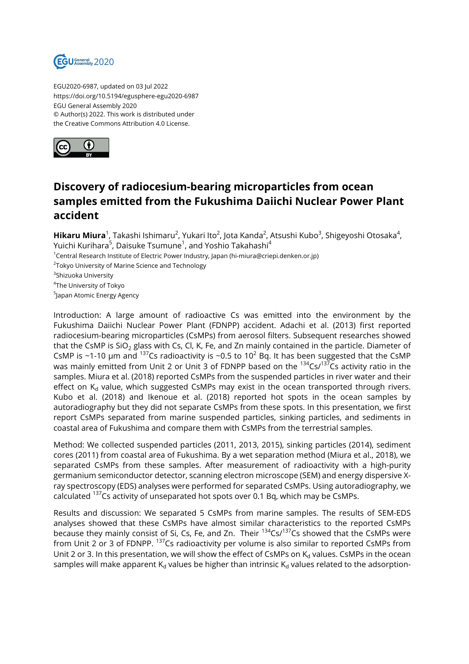

EGU2020-6987, updated on 03 Jul 2022 https://doi.org/10.5194/egusphere-egu2020-6987 EGU General Assembly 2020 © Author(s) 2022. This work is distributed under the Creative Commons Attribution 4.0 License.



## **Discovery of radiocesium-bearing microparticles from ocean samples emitted from the Fukushima Daiichi Nuclear Power Plant accident**

**Hikaru Miura**<sup>1</sup>, Takashi Ishimaru<sup>2</sup>, Yukari Ito<sup>2</sup>, Jota Kanda<sup>2</sup>, Atsushi Kubo<sup>3</sup>, Shigeyoshi Otosaka<sup>4</sup>, Yuichi Kurihara<sup>5</sup>, Daisuke Tsumune<sup>1</sup>, and Yoshio Takahashi<sup>4</sup>

<sup>1</sup>Central Research Institute of Electric Power Industry, Japan (hi-miura@criepi.denken.or.jp)

 $^{2}$ Tokyo University of Marine Science and Technology

<sup>3</sup>Shizuoka University

4 The University of Tokyo

<sup>5</sup>Japan Atomic Energy Agency

Introduction: A large amount of radioactive Cs was emitted into the environment by the Fukushima Daiichi Nuclear Power Plant (FDNPP) accident. Adachi et al. (2013) first reported radiocesium-bearing microparticles (CsMPs) from aerosol filters. Subsequent researches showed that the CsMP is SiO<sub>2</sub> glass with Cs, Cl, K, Fe, and Zn mainly contained in the particle. Diameter of CsMP is ~1-10 µm and <sup>137</sup>Cs radioactivity is ~0.5 to 10<sup>2</sup> Bq. It has been suggested that the CsMP was mainly emitted from Unit 2 or Unit 3 of FDNPP based on the  $134\text{Cs}$ / $137\text{Cs}$  activity ratio in the samples. Miura et al. (2018) reported CsMPs from the suspended particles in river water and their effect on  $K_d$  value, which suggested CsMPs may exist in the ocean transported through rivers. Kubo et al. (2018) and Ikenoue et al. (2018) reported hot spots in the ocean samples by autoradiography but they did not separate CsMPs from these spots. In this presentation, we first report CsMPs separated from marine suspended particles, sinking particles, and sediments in coastal area of Fukushima and compare them with CsMPs from the terrestrial samples.

Method: We collected suspended particles (2011, 2013, 2015), sinking particles (2014), sediment cores (2011) from coastal area of Fukushima. By a wet separation method (Miura et al., 2018), we separated CsMPs from these samples. After measurement of radioactivity with a high-purity germanium semiconductor detector, scanning electron microscope (SEM) and energy dispersive Xray spectroscopy (EDS) analyses were performed for separated CsMPs. Using autoradiography, we calculated  $137$ Cs activity of unseparated hot spots over 0.1 Bq, which may be CsMPs.

Results and discussion: We separated 5 CsMPs from marine samples. The results of SEM-EDS analyses showed that these CsMPs have almost similar characteristics to the reported CsMPs because they mainly consist of Si, Cs, Fe, and Zn. Their <sup>134</sup>Cs/<sup>137</sup>Cs showed that the CsMPs were from Unit 2 or 3 of FDNPP. <sup>137</sup>Cs radioactivity per volume is also similar to reported CsMPs from Unit 2 or 3. In this presentation, we will show the effect of CsMPs on  $K_d$  values. CsMPs in the ocean samples will make apparent  $K_d$  values be higher than intrinsic  $K_d$  values related to the adsorption